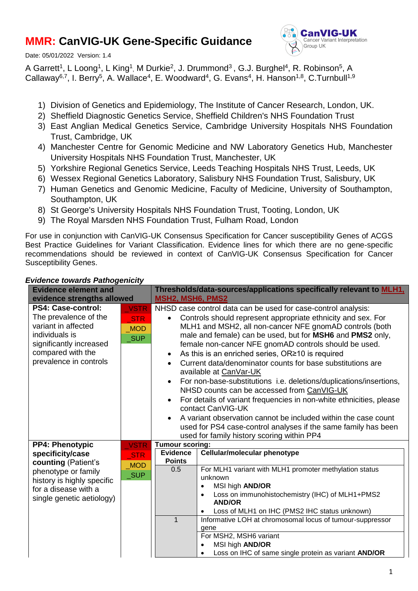# **MMR: CanVIG-UK Gene-Specific Guidance**

Date: 05/01/2022 Version: 1.4



A Garrett<sup>1</sup>, L Loong<sup>1</sup>, L King<sup>1</sup>, M Durkie<sup>2</sup>, J. Drummond<sup>3</sup>, G.J. Burghel<sup>4</sup>, R. Robinson<sup>5</sup>, A Callaway<sup>6,7</sup>, I. Berry<sup>5</sup>, A. Wallace<sup>4</sup>, E. Woodward<sup>4</sup>, G. Evans<sup>4</sup>, H. Hanson<sup>1,8</sup>, C.Turnbull<sup>1,9</sup>

- 1) Division of Genetics and Epidemiology, The Institute of Cancer Research, London, UK.
- 2) Sheffield Diagnostic Genetics Service, Sheffield Children's NHS Foundation Trust
- 3) East Anglian Medical Genetics Service, Cambridge University Hospitals NHS Foundation Trust, Cambridge, UK
- 4) Manchester Centre for Genomic Medicine and NW Laboratory Genetics Hub, Manchester University Hospitals NHS Foundation Trust, Manchester, UK
- 5) Yorkshire Regional Genetics Service, Leeds Teaching Hospitals NHS Trust, Leeds, UK
- 6) Wessex Regional Genetics Laboratory, Salisbury NHS Foundation Trust, Salisbury, UK
- 7) Human Genetics and Genomic Medicine, Faculty of Medicine, University of Southampton, Southampton, UK
- 8) St George's University Hospitals NHS Foundation Trust, Tooting, London, UK
- 9) The Royal Marsden NHS Foundation Trust, Fulham Road, London

For use in conjunction with CanVIG-UK Consensus Specification for Cancer susceptibility Genes of ACGS Best Practice Guidelines for Variant Classification. Evidence lines for which there are no gene-specific recommendations should be reviewed in context of CanVIG-UK Consensus Specification for Cancer Susceptibility Genes.

| <b>Evidence element and</b>                                                                                                                                                 |                                                       | Thresholds/data-sources/applications specifically relevant to <u>MLH1,</u>                                                                                                                                                                                                                                                                                                                                                                                                                                                                                                                                                                                                                                                                                                                                                                                                                                        |  |  |  |
|-----------------------------------------------------------------------------------------------------------------------------------------------------------------------------|-------------------------------------------------------|-------------------------------------------------------------------------------------------------------------------------------------------------------------------------------------------------------------------------------------------------------------------------------------------------------------------------------------------------------------------------------------------------------------------------------------------------------------------------------------------------------------------------------------------------------------------------------------------------------------------------------------------------------------------------------------------------------------------------------------------------------------------------------------------------------------------------------------------------------------------------------------------------------------------|--|--|--|
| evidence strengths allowed                                                                                                                                                  |                                                       | <b>MSH2, MSH6, PMS2</b>                                                                                                                                                                                                                                                                                                                                                                                                                                                                                                                                                                                                                                                                                                                                                                                                                                                                                           |  |  |  |
| <b>PS4: Case-control:</b><br>The prevalence of the<br>variant in affected<br>individuals is<br>significantly increased<br>compared with the<br>prevalence in controls       | <b>VSTR</b><br><b>STR</b><br><b>MOD</b><br><b>SUP</b> | NHSD case control data can be used for case-control analysis:<br>Controls should represent appropriate ethnicity and sex. For<br>$\bullet$<br>MLH1 and MSH2, all non-cancer NFE gnomAD controls (both<br>male and female) can be used, but for MSH6 and PMS2 only,<br>female non-cancer NFE gnomAD controls should be used.<br>As this is an enriched series, OR 210 is required<br>$\bullet$<br>Current data/denominator counts for base substitutions are<br>available at CanVar-UK<br>For non-base-substitutions i.e. deletions/duplications/insertions,<br>$\bullet$<br>NHSD counts can be accessed from CanVIG-UK<br>For details of variant frequencies in non-white ethnicities, please<br>$\bullet$<br>contact CanVIG-UK<br>A variant observation cannot be included within the case count<br>used for PS4 case-control analyses if the same family has been<br>used for family history scoring within PP4 |  |  |  |
| <b>PP4: Phenotypic</b><br>specificity/case<br>counting (Patient's<br>phenotype or family<br>history is highly specific<br>for a disease with a<br>single genetic aetiology) | <b>VSTR</b><br><b>STR</b><br><b>MOD</b><br><b>SUP</b> | <b>Tumour scoring:</b><br>Cellular/molecular phenotype<br><b>Evidence</b><br><b>Points</b><br>For MLH1 variant with MLH1 promoter methylation status<br>0.5<br>unknown<br>MSI high AND/OR<br>$\bullet$<br>Loss on immunohistochemistry (IHC) of MLH1+PMS2<br><b>AND/OR</b><br>Loss of MLH1 on IHC (PMS2 IHC status unknown)<br>$\bullet$<br>$\mathbf{1}$<br>Informative LOH at chromosomal locus of tumour-suppressor<br>gene<br>For MSH2, MSH6 variant<br>MSI high AND/OR<br>Loss on IHC of same single protein as variant AND/OR                                                                                                                                                                                                                                                                                                                                                                                |  |  |  |

#### *Evidence towards Pathogenicity*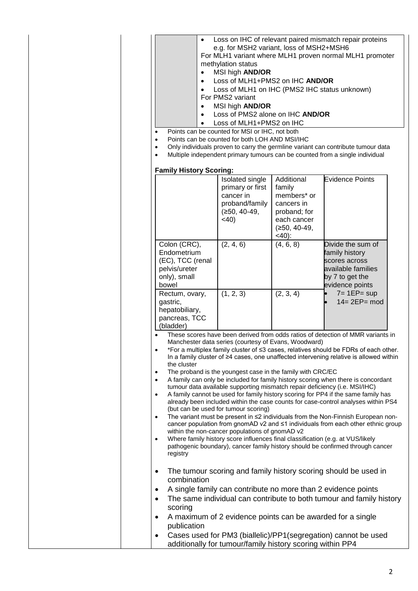| $\bullet$                                                                                                                                                                                                                                                                                                                                                                                                                                                                                                                                                                                                                                                                                                                                                                                                                                                                                                                                                                                                                                                                                                                                                                                                                                                 | e.g. for MSH2 variant, loss of MSH2+MSH6<br>methylation status<br>MSI high AND/OR<br>Loss of MLH1+PMS2 on IHC AND/OR<br>Loss of MLH1 on IHC (PMS2 IHC status unknown)<br>For PMS2 variant<br>MSI high <b>AND/OR</b><br>Loss of PMS2 alone on IHC AND/OR<br>Loss of MLH1+PMS2 on IHC<br>Points can be counted for MSI or IHC, not both<br>Points can be counted for both LOH AND MSI/IHC |                                                                                                                            | Loss on IHC of relevant paired mismatch repair proteins<br>For MLH1 variant where MLH1 proven normal MLH1 promoter<br>Only individuals proven to carry the germline variant can contribute tumour data<br>Multiple independent primary tumours can be counted from a single individual                                                   |
|-----------------------------------------------------------------------------------------------------------------------------------------------------------------------------------------------------------------------------------------------------------------------------------------------------------------------------------------------------------------------------------------------------------------------------------------------------------------------------------------------------------------------------------------------------------------------------------------------------------------------------------------------------------------------------------------------------------------------------------------------------------------------------------------------------------------------------------------------------------------------------------------------------------------------------------------------------------------------------------------------------------------------------------------------------------------------------------------------------------------------------------------------------------------------------------------------------------------------------------------------------------|-----------------------------------------------------------------------------------------------------------------------------------------------------------------------------------------------------------------------------------------------------------------------------------------------------------------------------------------------------------------------------------------|----------------------------------------------------------------------------------------------------------------------------|------------------------------------------------------------------------------------------------------------------------------------------------------------------------------------------------------------------------------------------------------------------------------------------------------------------------------------------|
| <b>Family History Scoring:</b>                                                                                                                                                                                                                                                                                                                                                                                                                                                                                                                                                                                                                                                                                                                                                                                                                                                                                                                                                                                                                                                                                                                                                                                                                            | Isolated single<br>primary or first<br>cancer in<br>proband/family<br>$(≥50, 40-49,$<br>$<$ 40)                                                                                                                                                                                                                                                                                         | Additional<br>family<br>members <sup>*</sup> or<br>cancers in<br>proband; for<br>each cancer<br>$(≥50, 40-49,$<br>$<$ 40): | <b>Evidence Points</b>                                                                                                                                                                                                                                                                                                                   |
| Colon (CRC),<br>Endometrium<br>(EC), TCC (renal<br>pelvis/ureter<br>only), small<br>bowel                                                                                                                                                                                                                                                                                                                                                                                                                                                                                                                                                                                                                                                                                                                                                                                                                                                                                                                                                                                                                                                                                                                                                                 | (2, 4, 6)                                                                                                                                                                                                                                                                                                                                                                               | (4, 6, 8)                                                                                                                  | Divide the sum of<br>family history<br>scores across<br>available families<br>by 7 to get the<br>evidence points                                                                                                                                                                                                                         |
| Rectum, ovary,<br>gastric,<br>hepatobiliary,<br>pancreas, TCC<br>(bladder)                                                                                                                                                                                                                                                                                                                                                                                                                                                                                                                                                                                                                                                                                                                                                                                                                                                                                                                                                                                                                                                                                                                                                                                | (1, 2, 3)                                                                                                                                                                                                                                                                                                                                                                               | (2, 3, 4)                                                                                                                  | $7 = 1EP = sup$<br>$14 = 2EP = mod$                                                                                                                                                                                                                                                                                                      |
| These scores have been derived from odds ratios of detection of MMR variants in<br>Manchester data series (courtesy of Evans, Woodward)<br>*For a multiplex family cluster of <3 cases, relatives should be FDRs of each other.<br>In a family cluster of ≥4 cases, one unaffected intervening relative is allowed within<br>the cluster<br>The proband is the youngest case in the family with CRC/EC<br>$\bullet$<br>A family can only be included for family history scoring when there is concordant<br>tumour data available supporting mismatch repair deficiency (i.e. MSI/IHC)<br>A family cannot be used for family history scoring for PP4 if the same family has<br>$\bullet$<br>already been included within the case counts for case-control analyses within PS4<br>(but can be used for tumour scoring)<br>The variant must be present in ≤2 individuals from the Non-Finnish European non-<br>$\bullet$<br>cancer population from gnomAD v2 and ≤1 individuals from each other ethnic group<br>within the non-cancer populations of gnomAD v2<br>Where family history score influences final classification (e.g. at VUS/likely<br>$\bullet$<br>pathogenic boundary), cancer family history should be confirmed through cancer<br>registry |                                                                                                                                                                                                                                                                                                                                                                                         |                                                                                                                            |                                                                                                                                                                                                                                                                                                                                          |
| ٠<br>combination<br>$\bullet$<br>$\bullet$<br>scoring<br>$\bullet$<br>publication<br>$\bullet$                                                                                                                                                                                                                                                                                                                                                                                                                                                                                                                                                                                                                                                                                                                                                                                                                                                                                                                                                                                                                                                                                                                                                            | additionally for tumour/family history scoring within PP4                                                                                                                                                                                                                                                                                                                               |                                                                                                                            | The tumour scoring and family history scoring should be used in<br>A single family can contribute no more than 2 evidence points<br>The same individual can contribute to both tumour and family history<br>A maximum of 2 evidence points can be awarded for a single<br>Cases used for PM3 (biallelic)/PP1(segregation) cannot be used |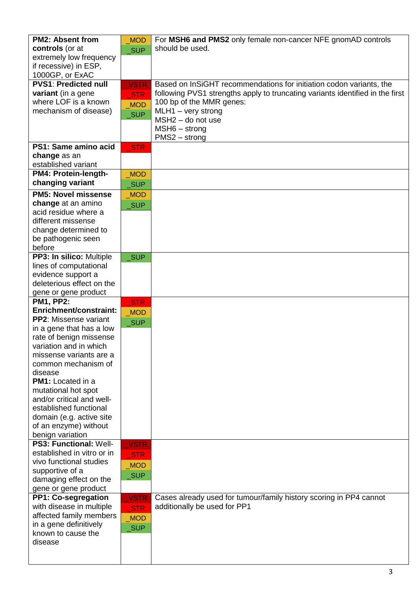| <b>PM2: Absent from</b>       | <b>MOD</b>  | For MSH6 and PMS2 only female non-cancer NFE gnomAD controls                  |
|-------------------------------|-------------|-------------------------------------------------------------------------------|
| controls (or at               | <b>SUP</b>  | should be used.                                                               |
| extremely low frequency       |             |                                                                               |
| if recessive) in ESP,         |             |                                                                               |
| 1000GP, or ExAC               |             |                                                                               |
| <b>PVS1: Predicted null</b>   | <b>VSTR</b> | Based on InSiGHT recommendations for initiation codon variants, the           |
| variant (in a gene            |             | following PVS1 strengths apply to truncating variants identified in the first |
| where LOF is a known          | <b>STR</b>  | 100 bp of the MMR genes:                                                      |
| mechanism of disease)         | <b>MOD</b>  | MLH1 - very strong                                                            |
|                               | <b>SUP</b>  | $MSH2 - do not use$                                                           |
|                               |             | $MSH6 - strong$                                                               |
|                               |             | PMS2 - strong                                                                 |
| PS1: Same amino acid          |             |                                                                               |
| change as an                  | <b>STR</b>  |                                                                               |
| established variant           |             |                                                                               |
| PM4: Protein-length-          |             |                                                                               |
| changing variant              | <b>MOD</b>  |                                                                               |
|                               | <b>SUP</b>  |                                                                               |
| <b>PM5: Novel missense</b>    | <b>MOD</b>  |                                                                               |
| change at an amino            | <b>SUP</b>  |                                                                               |
| acid residue where a          |             |                                                                               |
| different missense            |             |                                                                               |
| change determined to          |             |                                                                               |
| be pathogenic seen            |             |                                                                               |
| before                        |             |                                                                               |
| PP3: In silico: Multiple      | _SUP        |                                                                               |
| lines of computational        |             |                                                                               |
| evidence support a            |             |                                                                               |
| deleterious effect on the     |             |                                                                               |
| gene or gene product          |             |                                                                               |
| <b>PM1, PP2:</b>              | <b>STR</b>  |                                                                               |
| Enrichment/constraint:        | <b>MOD</b>  |                                                                               |
| <b>PP2:</b> Missense variant  | <b>SUP</b>  |                                                                               |
| in a gene that has a low      |             |                                                                               |
| rate of benign missense       |             |                                                                               |
| variation and in which        |             |                                                                               |
| missense variants are a       |             |                                                                               |
| common mechanism of           |             |                                                                               |
| disease                       |             |                                                                               |
| <b>PM1:</b> Located in a      |             |                                                                               |
| mutational hot spot           |             |                                                                               |
| and/or critical and well-     |             |                                                                               |
| established functional        |             |                                                                               |
| domain (e.g. active site      |             |                                                                               |
| of an enzyme) without         |             |                                                                               |
| benign variation              |             |                                                                               |
| <b>PS3: Functional: Well-</b> | <b>VSTR</b> |                                                                               |
| established in vitro or in    | <b>STR</b>  |                                                                               |
| vivo functional studies       | <b>MOD</b>  |                                                                               |
| supportive of a               | _SUP        |                                                                               |
| damaging effect on the        |             |                                                                               |
| gene or gene product          |             |                                                                               |
| PP1: Co-segregation           | <b>VSTR</b> | Cases already used for tumour/family history scoring in PP4 cannot            |
| with disease in multiple      | <b>STR</b>  | additionally be used for PP1                                                  |
| affected family members       | <b>MOD</b>  |                                                                               |
| in a gene definitively        | <b>SUP</b>  |                                                                               |
| known to cause the            |             |                                                                               |
| disease                       |             |                                                                               |
|                               |             |                                                                               |
|                               |             |                                                                               |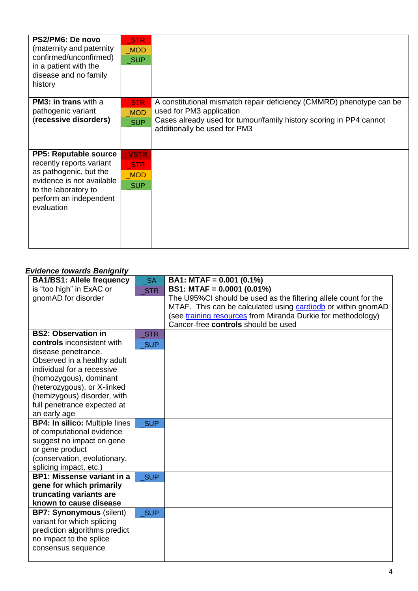| PS2/PM6: De novo<br>(maternity and paternity<br>confirmed/unconfirmed)<br>in a patient with the<br>disease and no family<br>history                                             | <b>STR</b><br><b>MOD</b><br><b>SUP</b>           |                                                                                                                                                                                                        |
|---------------------------------------------------------------------------------------------------------------------------------------------------------------------------------|--------------------------------------------------|--------------------------------------------------------------------------------------------------------------------------------------------------------------------------------------------------------|
| <b>PM3: in trans</b> with a<br>pathogenic variant<br>(recessive disorders)                                                                                                      | STR<br><b>MOD</b><br><b>SUP</b>                  | A constitutional mismatch repair deficiency (CMMRD) phenotype can be<br>used for PM3 application<br>Cases already used for tumour/family history scoring in PP4 cannot<br>additionally be used for PM3 |
| <b>PP5: Reputable source</b><br>recently reports variant<br>as pathogenic, but the<br>evidence is not available<br>to the laboratory to<br>perform an independent<br>evaluation | <b>VSTR</b><br>STR<br>MOD<br>$\sqrt{\text{SUP}}$ |                                                                                                                                                                                                        |

# *Evidence towards Benignity*

| <b>BA1/BS1: Allele frequency</b>                | <b>SA</b>  | BA1: MTAF = $0.001$ (0.1%)                                      |
|-------------------------------------------------|------------|-----------------------------------------------------------------|
| is "too high" in ExAC or                        | <b>STR</b> | BS1: MTAF = 0.0001 (0.01%)                                      |
| gnomAD for disorder                             |            | The U95%CI should be used as the filtering allele count for the |
|                                                 |            | MTAF. This can be calculated using cardiodb or within gnomAD    |
|                                                 |            | (see training resources from Miranda Durkie for methodology)    |
|                                                 |            | Cancer-free controls should be used                             |
| <b>BS2: Observation in</b>                      | <b>STR</b> |                                                                 |
| controls inconsistent with                      | <b>SUP</b> |                                                                 |
| disease penetrance.                             |            |                                                                 |
| Observed in a healthy adult                     |            |                                                                 |
| individual for a recessive                      |            |                                                                 |
| (homozygous), dominant                          |            |                                                                 |
| (heterozygous), or X-linked                     |            |                                                                 |
| (hemizygous) disorder, with                     |            |                                                                 |
| full penetrance expected at                     |            |                                                                 |
| an early age                                    |            |                                                                 |
| <b>BP4: In silico: Multiple lines</b>           | <b>SUP</b> |                                                                 |
| of computational evidence                       |            |                                                                 |
| suggest no impact on gene                       |            |                                                                 |
| or gene product<br>(conservation, evolutionary, |            |                                                                 |
| splicing impact, etc.)                          |            |                                                                 |
| <b>BP1: Missense variant in a</b>               | <b>SUP</b> |                                                                 |
| gene for which primarily                        |            |                                                                 |
| truncating variants are                         |            |                                                                 |
| known to cause disease                          |            |                                                                 |
| <b>BP7: Synonymous (silent)</b>                 | <b>SUP</b> |                                                                 |
| variant for which splicing                      |            |                                                                 |
| prediction algorithms predict                   |            |                                                                 |
| no impact to the splice                         |            |                                                                 |
| consensus sequence                              |            |                                                                 |
|                                                 |            |                                                                 |